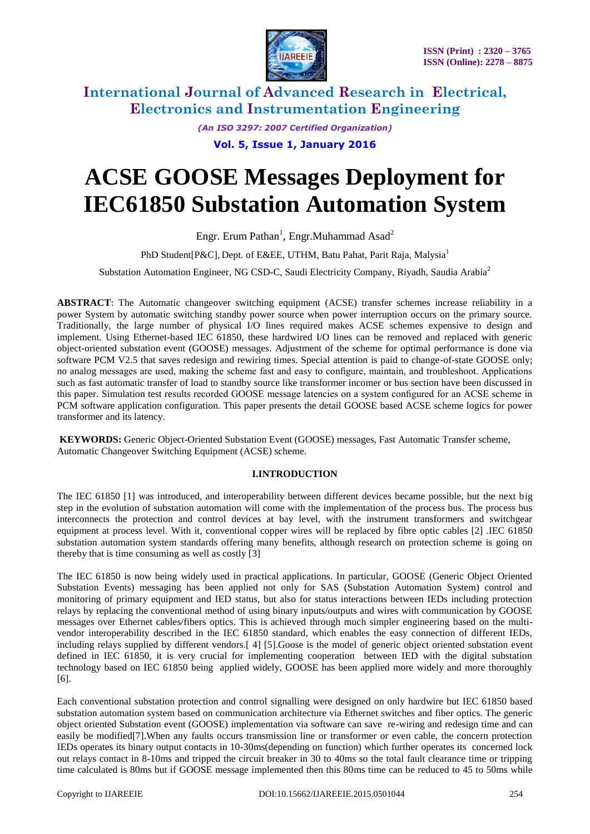

> *(An ISO 3297: 2007 Certified Organization)* **Vol. 5, Issue 1, January 2016**

# **ACSE GOOSE Messages Deployment for**

**IEC61850 Substation Automation System**

Engr. Erum Pathan<sup>1</sup>, Engr.Muhammad Asad<sup>2</sup>

PhD Student [P&C], Dept. of E&EE, UTHM, Batu Pahat, Parit Raja, Malysia<sup>1</sup>

Substation Automation Engineer, NG CSD-C, Saudi Electricity Company, Riyadh, Saudia Arabia<sup>2</sup>

**ABSTRACT**: The Automatic changeover switching equipment (ACSE) transfer schemes increase reliability in a power System by automatic switching standby power source when power interruption occurs on the primary source. Traditionally, the large number of physical I/O lines required makes ACSE schemes expensive to design and implement. Using Ethernet-based IEC 61850, these hardwired I/O lines can be removed and replaced with generic object-oriented substation event (GOOSE) messages. Adjustment of the scheme for optimal performance is done via software PCM V2.5 that saves redesign and rewiring times. Special attention is paid to change-of-state GOOSE only; no analog messages are used, making the scheme fast and easy to configure, maintain, and troubleshoot. Applications such as fast automatic transfer of load to standby source like transformer incomer or bus section have been discussed in this paper. Simulation test results recorded GOOSE message latencies on a system configured for an ACSE scheme in PCM software application configuration. This paper presents the detail GOOSE based ACSE scheme logics for power transformer and its latency.

**KEYWORDS:** Generic Object-Oriented Substation Event (GOOSE) messages, Fast Automatic Transfer scheme, Automatic Changeover Switching Equipment (ACSE) scheme.

#### **I.INTRODUCTION**

The IEC 61850 [1] was introduced, and interoperability between different devices became possible, but the next big step in the evolution of substation automation will come with the implementation of the process bus. The process bus interconnects the protection and control devices at bay level, with the instrument transformers and switchgear equipment at process level. With it, conventional copper wires will be replaced by fibre optic cables [2] .IEC 61850 substation automation system standards offering many benefits, although research on protection scheme is going on thereby that is time consuming as well as costly [3]

The IEC 61850 is now being widely used in practical applications. In particular, GOOSE (Generic Object Oriented Substation Events) messaging has been applied not only for SAS (Substation Automation System) control and monitoring of primary equipment and IED status, but also for status interactions between IEDs including protection relays by replacing the conventional method of using binary inputs/outputs and wires with communication by GOOSE messages over Ethernet cables/fibers optics. This is achieved through much simpler engineering based on the multivendor interoperability described in the IEC 61850 standard, which enables the easy connection of different IEDs, including relays supplied by different vendors.[ 4] [5].Goose is the model of generic object oriented substation event defined in IEC 61850, it is very crucial for implementing cooperation between IED with the digital substation technology based on IEC 61850 being applied widely, GOOSE has been applied more widely and more thoroughly [6].

Each conventional substation protection and control signalling were designed on only hardwire but IEC 61850 based substation automation system based on communication architecture via Ethernet switches and fiber optics. The generic object oriented Substation event (GOOSE) implementation via software can save re-wiring and redesign time and can easily be modified[7].When any faults occurs transmission line or transformer or even cable, the concern protection IEDs operates its binary output contacts in 10-30ms(depending on function) which further operates its concerned lock out relays contact in 8-10ms and tripped the circuit breaker in 30 to 40ms so the total fault clearance time or tripping time calculated is 80ms but if GOOSE message implemented then this 80ms time can be reduced to 45 to 50ms while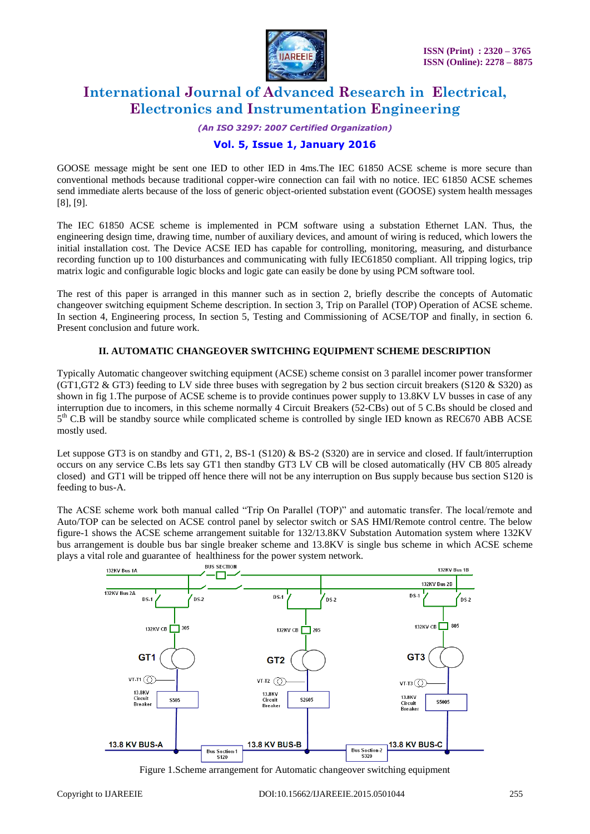

*(An ISO 3297: 2007 Certified Organization)*

## **Vol. 5, Issue 1, January 2016**

GOOSE message might be sent one IED to other IED in 4ms.The IEC 61850 ACSE scheme is more secure than conventional methods because traditional copper-wire connection can fail with no notice. IEC 61850 ACSE schemes send immediate alerts because of the loss of generic object-oriented substation event (GOOSE) system health messages [8], [9].

The IEC 61850 ACSE scheme is implemented in PCM software using a substation Ethernet LAN. Thus, the engineering design time, drawing time, number of auxiliary devices, and amount of wiring is reduced, which lowers the initial installation cost. The Device ACSE IED has capable for controlling, monitoring, measuring, and disturbance recording function up to 100 disturbances and communicating with fully IEC61850 compliant. All tripping logics, trip matrix logic and configurable logic blocks and logic gate can easily be done by using PCM software tool.

The rest of this paper is arranged in this manner such as in section 2, briefly describe the concepts of Automatic changeover switching equipment Scheme description. In section 3, Trip on Parallel (TOP) Operation of ACSE scheme. In section 4, Engineering process, In section 5, Testing and Commissioning of ACSE/TOP and finally, in section 6. Present conclusion and future work.

#### **II. AUTOMATIC CHANGEOVER SWITCHING EQUIPMENT SCHEME DESCRIPTION**

Typically Automatic changeover switching equipment (ACSE) scheme consist on 3 parallel incomer power transformer (GT1,GT2 & GT3) feeding to LV side three buses with segregation by 2 bus section circuit breakers (S120 & S320) as shown in fig 1.The purpose of ACSE scheme is to provide continues power supply to 13.8KV LV busses in case of any interruption due to incomers, in this scheme normally 4 Circuit Breakers (52-CBs) out of 5 C.Bs should be closed and 5<sup>th</sup> C.B will be standby source while complicated scheme is controlled by single IED known as REC670 ABB ACSE mostly used.

Let suppose GT3 is on standby and GT1, 2, BS-1 (S120) & BS-2 (S320) are in service and closed. If fault/interruption occurs on any service C.Bs lets say GT1 then standby GT3 LV CB will be closed automatically (HV CB 805 already closed) and GT1 will be tripped off hence there will not be any interruption on Bus supply because bus section S120 is feeding to bus-A.

The ACSE scheme work both manual called "Trip On Parallel (TOP)" and automatic transfer. The local/remote and Auto/TOP can be selected on ACSE control panel by selector switch or SAS HMI/Remote control centre. The below figure-1 shows the ACSE scheme arrangement suitable for 132/13.8KV Substation Automation system where 132KV bus arrangement is double bus bar single breaker scheme and 13.8KV is single bus scheme in which ACSE scheme plays a vital role and guarantee of healthiness for the power system network.



Figure 1.Scheme arrangement for Automatic changeover switching equipment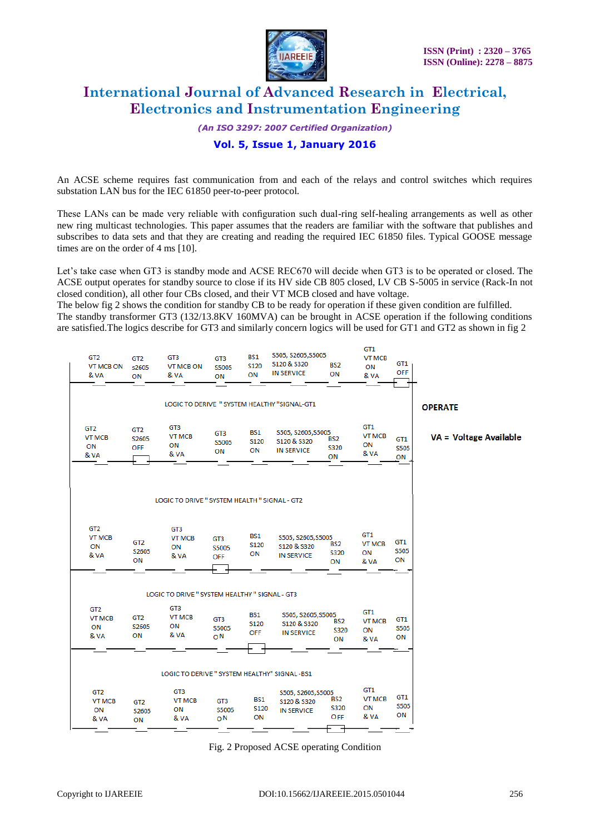

*(An ISO 3297: 2007 Certified Organization)*

## **Vol. 5, Issue 1, January 2016**

An ACSE scheme requires fast communication from and each of the relays and control switches which requires substation LAN bus for the IEC 61850 peer-to-peer protocol.

These LANs can be made very reliable with configuration such dual-ring self-healing arrangements as well as other new ring multicast technologies. This paper assumes that the readers are familiar with the software that publishes and subscribes to data sets and that they are creating and reading the required IEC 61850 files. Typical GOOSE message times are on the order of 4 ms [10].

Let's take case when GT3 is standby mode and ACSE REC670 will decide when GT3 is to be operated or closed. The ACSE output operates for standby source to close if its HV side CB 805 closed, LV CB S-5005 in service (Rack-In not closed condition), all other four CBs closed, and their VT MCB closed and have voltage.

The below fig 2 shows the condition for standby CB to be ready for operation if these given condition are fulfilled. The standby transformer GT3 (132/13.8KV 160MVA) can be brought in ACSE operation if the following conditions are satisfied.The logics describe for GT3 and similarly concern logics will be used for GT1 and GT2 as shown in fig 2



Fig. 2 Proposed ACSE operating Condition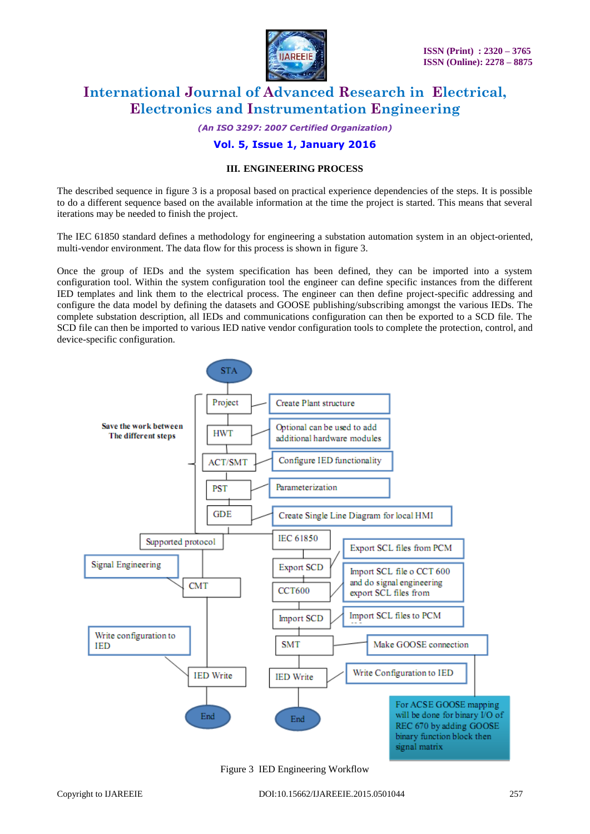

*(An ISO 3297: 2007 Certified Organization)*

#### **Vol. 5, Issue 1, January 2016**

#### **III. ENGINEERING PROCESS**

The described sequence in figure 3 is a proposal based on practical experience dependencies of the steps. It is possible to do a different sequence based on the available information at the time the project is started. This means that several iterations may be needed to finish the project.

The IEC 61850 standard defines a methodology for engineering a substation automation system in an object-oriented, multi-vendor environment. The data flow for this process is shown in figure 3.

Once the group of IEDs and the system specification has been defined, they can be imported into a system configuration tool. Within the system configuration tool the engineer can define specific instances from the different IED templates and link them to the electrical process. The engineer can then define project-specific addressing and configure the data model by defining the datasets and GOOSE publishing/subscribing amongst the various IEDs. The complete substation description, all IEDs and communications configuration can then be exported to a SCD file. The SCD file can then be imported to various IED native vendor configuration tools to complete the protection, control, and device-specific configuration.



Figure 3 IED Engineering Workflow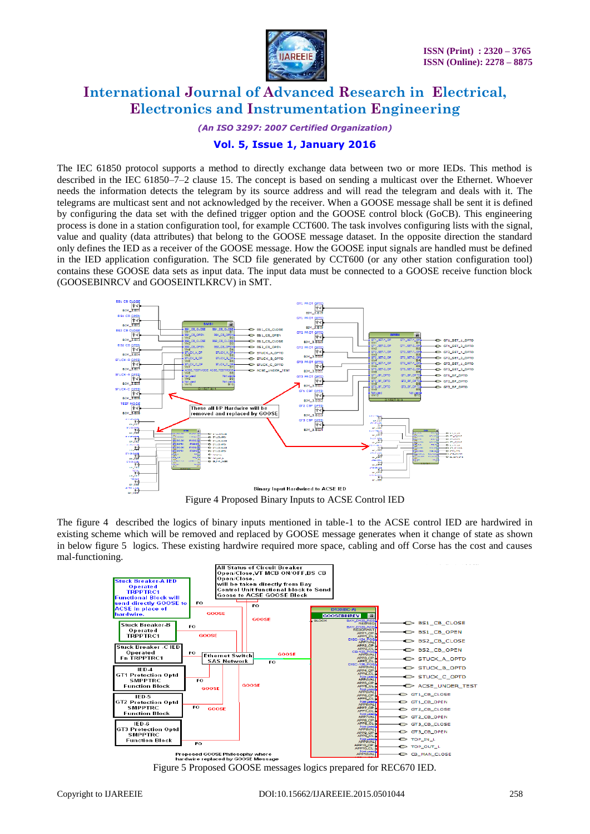

*(An ISO 3297: 2007 Certified Organization)*

#### **Vol. 5, Issue 1, January 2016**

The IEC 61850 protocol supports a method to directly exchange data between two or more IEDs. This method is described in the IEC 61850–7–2 clause 15. The concept is based on sending a multicast over the Ethernet. Whoever needs the information detects the telegram by its source address and will read the telegram and deals with it. The telegrams are multicast sent and not acknowledged by the receiver. When a GOOSE message shall be sent it is defined by configuring the data set with the defined trigger option and the GOOSE control block (GoCB). This engineering process is done in a station configuration tool, for example CCT600. The task involves configuring lists with the signal, value and quality (data attributes) that belong to the GOOSE message dataset. In the opposite direction the standard only defines the IED as a receiver of the GOOSE message. How the GOOSE input signals are handled must be defined in the IED application configuration. The SCD file generated by CCT600 (or any other station configuration tool) contains these GOOSE data sets as input data. The input data must be connected to a GOOSE receive function block (GOOSEBINRCV and GOOSEINTLKRCV) in SMT.



The figure 4 described the logics of binary inputs mentioned in table-1 to the ACSE control IED are hardwired in existing scheme which will be removed and replaced by GOOSE message generates when it change of state as shown in below figure 5 logics. These existing hardwire required more space, cabling and off Corse has the cost and causes mal-functioning.



Figure 5 Proposed GOOSE messages logics prepared for REC670 IED.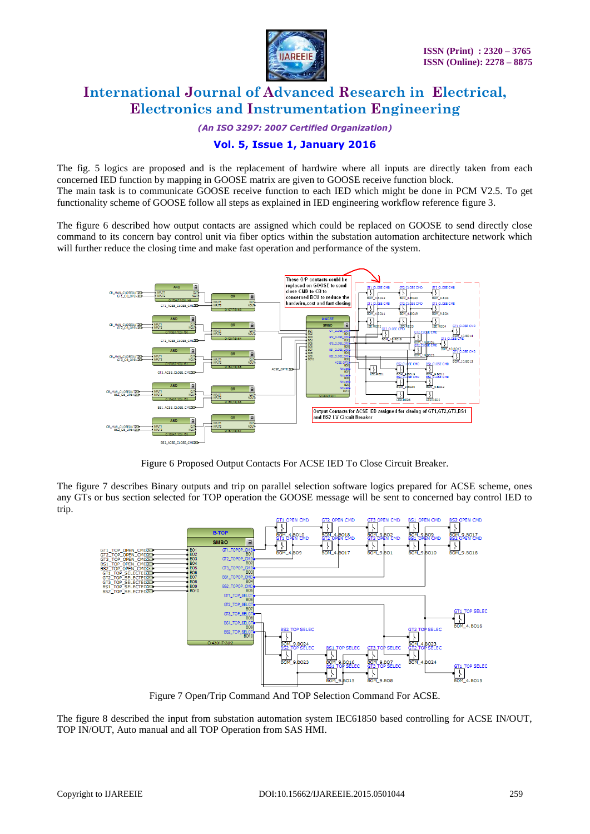

*(An ISO 3297: 2007 Certified Organization)*

## **Vol. 5, Issue 1, January 2016**

The fig. 5 logics are proposed and is the replacement of hardwire where all inputs are directly taken from each concerned IED function by mapping in GOOSE matrix are given to GOOSE receive function block. The main task is to communicate GOOSE receive function to each IED which might be done in PCM V2.5. To get functionality scheme of GOOSE follow all steps as explained in IED engineering workflow reference figure 3.

The figure 6 described how output contacts are assigned which could be replaced on GOOSE to send directly close command to its concern bay control unit via fiber optics within the substation automation architecture network which will further reduce the closing time and make fast operation and performance of the system.



Figure 6 Proposed Output Contacts For ACSE IED To Close Circuit Breaker.

The figure 7 describes Binary outputs and trip on parallel selection software logics prepared for ACSE scheme, ones any GTs or bus section selected for TOP operation the GOOSE message will be sent to concerned bay control IED to trip.



Figure 7 Open/Trip Command And TOP Selection Command For ACSE.

The figure 8 described the input from substation automation system IEC61850 based controlling for ACSE IN/OUT, TOP IN/OUT, Auto manual and all TOP Operation from SAS HMI.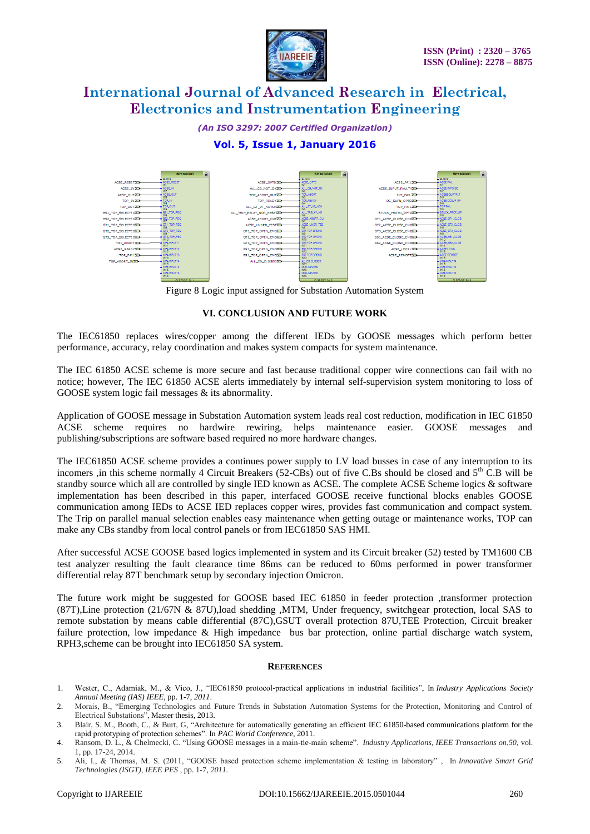

*(An ISO 3297: 2007 Certified Organization)*

## **Vol. 5, Issue 1, January 2016**



Figure 8 Logic input assigned for Substation Automation System

#### **VI. CONCLUSION AND FUTURE WORK**

The IEC61850 replaces wires/copper among the different IEDs by GOOSE messages which perform better performance, accuracy, relay coordination and makes system compacts for system maintenance.

The IEC 61850 ACSE scheme is more secure and fast because traditional copper wire connections can fail with no notice; however, The IEC 61850 ACSE alerts immediately by internal self-supervision system monitoring to loss of GOOSE system logic fail messages & its abnormality.

Application of GOOSE message in Substation Automation system leads real cost reduction, modification in IEC 61850 ACSE scheme requires no hardwire rewiring, helps maintenance easier. GOOSE messages and publishing/subscriptions are software based required no more hardware changes.

The IEC61850 ACSE scheme provides a continues power supply to LV load busses in case of any interruption to its incomers ,in this scheme normally 4 Circuit Breakers (52-CBs) out of five C.Bs should be closed and  $5<sup>th</sup>$  C.B will be standby source which all are controlled by single IED known as ACSE. The complete ACSE Scheme logics & software implementation has been described in this paper, interfaced GOOSE receive functional blocks enables GOOSE communication among IEDs to ACSE IED replaces copper wires, provides fast communication and compact system. The Trip on parallel manual selection enables easy maintenance when getting outage or maintenance works, TOP can make any CBs standby from local control panels or from IEC61850 SAS HMI.

After successful ACSE GOOSE based logics implemented in system and its Circuit breaker (52) tested by TM1600 CB test analyzer resulting the fault clearance time 86ms can be reduced to 60ms performed in power transformer differential relay 87T benchmark setup by secondary injection Omicron.

The future work might be suggested for GOOSE based IEC 61850 in feeder protection ,transformer protection (87T),Line protection (21/67N & 87U),load shedding ,MTM, Under frequency, switchgear protection, local SAS to remote substation by means cable differential (87C),GSUT overall protection 87U,TEE Protection, Circuit breaker failure protection, low impedance & High impedance bus bar protection, online partial discharge watch system, RPH3,scheme can be brought into IEC61850 SA system.

#### **REFERENCES**

- 1. Wester, C., Adamiak, M., & Vico, J., "IEC61850 protocol-practical applications in industrial facilities", In *Industry Applications Society Annual Meeting (IAS) IEEE,* pp. 1-7, *2011*.
- 2. Morais, B., "Emerging Technologies and Future Trends in Substation Automation Systems for the Protection, Monitoring and Control of Electrical Substations", Master thesis, 2013.
- 3. Blair, S. M., Booth, C., & Burt, G, "Architecture for automatically generating an efficient IEC 61850-based communications platform for the rapid prototyping of protection schemes". In *PAC World Conference,* 2011.
- 4. Ransom, D. L., & Chelmecki, C. "Using GOOSE messages in a main-tie-main scheme". *Industry Applications, IEEE Transactions on*,*50*, vol. 1, pp. 17-24, 2014.
- 5. Ali, I., & Thomas, M. S. (2011, "GOOSE based protection scheme implementation & testing in laboratory" , In *Innovative Smart Grid Technologies (ISGT), IEEE PES* , pp. 1-7, *2011.*